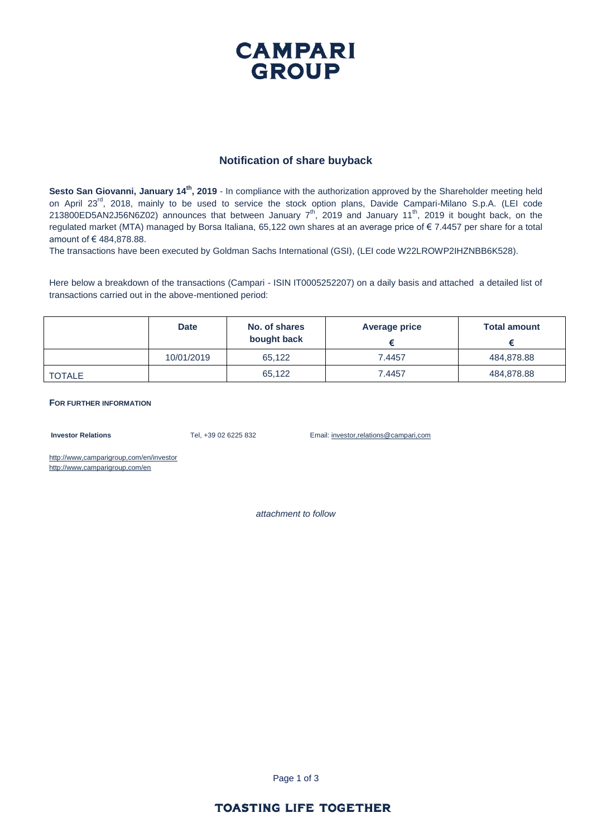### **CAMPARI GROUP**

#### **Notification of share buyback**

**Sesto San Giovanni, January 14th, 2019** - In compliance with the authorization approved by the Shareholder meeting held on April 23<sup>rd</sup>, 2018, mainly to be used to service the stock option plans, Davide Campari-Milano S.p.A. (LEI code 213800ED5AN2J56N6Z02) announces that between January  $7<sup>th</sup>$ , 2019 and January 11<sup>th</sup>, 2019 it bought back, on the regulated market (MTA) managed by Borsa Italiana, 65,122 own shares at an average price of € 7.4457 per share for a total amount of € 484,878.88.

The transactions have been executed by Goldman Sachs International (GSI), (LEI code W22LROWP2IHZNBB6K528).

Here below a breakdown of the transactions (Campari - ISIN IT0005252207) on a daily basis and attached a detailed list of transactions carried out in the above-mentioned period:

|        | <b>Date</b> | No. of shares<br>bought back | Average price | <b>Total amount</b> |
|--------|-------------|------------------------------|---------------|---------------------|
|        | 10/01/2019  | 65,122                       | 7.4457        | 484,878.88          |
| TOTALE |             | 65,122                       | 7.4457        | 484,878.88          |

#### **FOR FURTHER INFORMATION**

**Investor Relations** Tel, +39 02 6225 832 Email: investor,relations@campari,com

http://www,camparigroup,com/en/investor http://www,camparigroup,com/en

*attachment to follow*

Page 1 of 3

#### **TOASTING LIFE TOGETHER**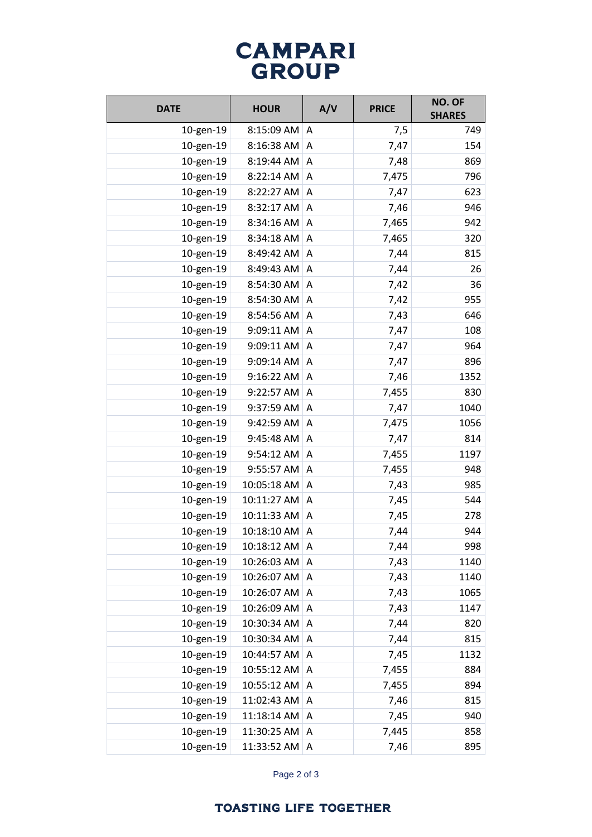# **CAMPARI**<br>GROUP

| <b>DATE</b> | <b>HOUR</b> | A/V | <b>PRICE</b> | NO. OF<br><b>SHARES</b> |
|-------------|-------------|-----|--------------|-------------------------|
| 10-gen-19   | 8:15:09 AM  | A   | 7,5          | 749                     |
| 10-gen-19   | 8:16:38 AM  | A   | 7,47         | 154                     |
| 10-gen-19   | 8:19:44 AM  | A   | 7,48         | 869                     |
| 10-gen-19   | 8:22:14 AM  | Α   | 7,475        | 796                     |
| 10-gen-19   | 8:22:27 AM  | A   | 7,47         | 623                     |
| 10-gen-19   | 8:32:17 AM  | Α   | 7,46         | 946                     |
| 10-gen-19   | 8:34:16 AM  | Α   | 7,465        | 942                     |
| 10-gen-19   | 8:34:18 AM  | A   | 7,465        | 320                     |
| 10-gen-19   | 8:49:42 AM  | Α   | 7,44         | 815                     |
| 10-gen-19   | 8:49:43 AM  | Α   | 7,44         | 26                      |
| 10-gen-19   | 8:54:30 AM  | Α   | 7,42         | 36                      |
| 10-gen-19   | 8:54:30 AM  | Α   | 7,42         | 955                     |
| 10-gen-19   | 8:54:56 AM  | A   | 7,43         | 646                     |
| 10-gen-19   | 9:09:11 AM  | A   | 7,47         | 108                     |
| 10-gen-19   | 9:09:11 AM  | Α   | 7,47         | 964                     |
| 10-gen-19   | 9:09:14 AM  | Α   | 7,47         | 896                     |
| 10-gen-19   | 9:16:22 AM  | A   | 7,46         | 1352                    |
| 10-gen-19   | 9:22:57 AM  | Α   | 7,455        | 830                     |
| 10-gen-19   | 9:37:59 AM  | Α   | 7,47         | 1040                    |
| 10-gen-19   | 9:42:59 AM  | A   | 7,475        | 1056                    |
| 10-gen-19   | 9:45:48 AM  | Α   | 7,47         | 814                     |
| 10-gen-19   | 9:54:12 AM  | Α   | 7,455        | 1197                    |
| 10-gen-19   | 9:55:57 AM  | Α   | 7,455        | 948                     |
| 10-gen-19   | 10:05:18 AM | Α   | 7,43         | 985                     |
| 10-gen-19   | 10:11:27 AM | Α   | 7,45         | 544                     |
| 10-gen-19   | 10:11:33 AM | A   | 7,45         | 278                     |
| 10-gen-19   | 10:18:10 AM | Α   | 7,44         | 944                     |
| 10-gen-19   | 10:18:12 AM | A   | 7,44         | 998                     |
| 10-gen-19   | 10:26:03 AM | A   | 7,43         | 1140                    |
| 10-gen-19   | 10:26:07 AM | A   | 7,43         | 1140                    |
| 10-gen-19   | 10:26:07 AM | A   | 7,43         | 1065                    |
| 10-gen-19   | 10:26:09 AM | A   | 7,43         | 1147                    |
| 10-gen-19   | 10:30:34 AM | Α   | 7,44         | 820                     |
| 10-gen-19   | 10:30:34 AM | Α   | 7,44         | 815                     |
| 10-gen-19   | 10:44:57 AM | A   | 7,45         | 1132                    |
| 10-gen-19   | 10:55:12 AM | Α   | 7,455        | 884                     |
| 10-gen-19   | 10:55:12 AM | Α   | 7,455        | 894                     |
| 10-gen-19   | 11:02:43 AM | Α   | 7,46         | 815                     |
| 10-gen-19   | 11:18:14 AM | Α   | 7,45         | 940                     |
| 10-gen-19   | 11:30:25 AM | Α   | 7,445        | 858                     |
| 10-gen-19   | 11:33:52 AM | A   | 7,46         | 895                     |

Page 2 of 3

### **TOASTING LIFE TOGETHER**